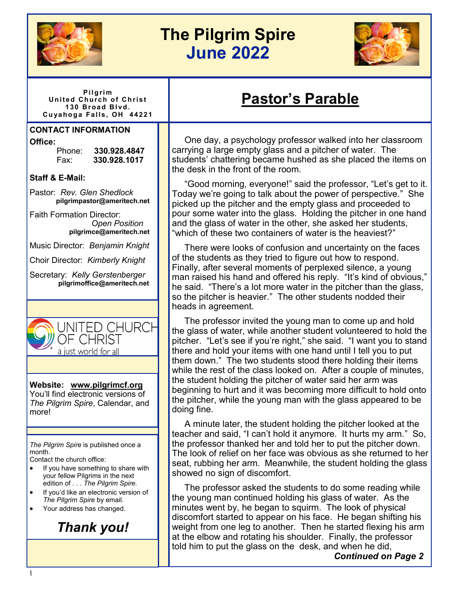

# **The Pilgrim Spire June 2022**



**P i l g ri m United Church of Christ 1 30 B r oa d B l vd. C u ya h o g a Fa l ls , O H 44 22 1**

#### **CONTACT INFORMATION**

**Office:**

Phone: **330.928.4847** Fax: **330.928.1017**

#### **Staff & E-Mail:**

Pastor: *Rev. Glen Shedlock*   **pilgrimpastor@ameritech.net**

Faith Formation Director:  *Open Position*  **pilgrimce@ameritech.net**

Music Director: *Benjamin Knight*

Choir Director: *Kimberly Knight* 

Secretary: *Kelly Gerstenberger*  **pilgrimoffice@ameritech.net**



**Website: [www.pilgrimcf.org](http://www.pilgrimcf.org/)** You'll find electronic versions of *The Pilgrim Spire*, Calendar, and more!

*The Pilgrim Spire* is published once a month.

Contact the church office:

- If you have something to share with your fellow Pilgrims in the next edition of . . . *The Pilgrim Spire.*
- If you'd like an electronic version of *The Pilgrim Spire* by email.
- Your address has changed.

*Thank you!*

 One day, a psychology professor walked into her classroom carrying a large empty glass and a pitcher of water. The students' chattering became hushed as she placed the items on the desk in the front of the room.

**Pastor's Parable**

 "Good morning, everyone!" said the professor, "Let's get to it. Today we're going to talk about the power of perspective." She picked up the pitcher and the empty glass and proceeded to pour some water into the glass. Holding the pitcher in one hand and the glass of water in the other, she asked her students, "which of these two containers of water is the heaviest?"

 There were looks of confusion and uncertainty on the faces of the students as they tried to figure out how to respond. Finally, after several moments of perplexed silence, a young man raised his hand and offered his reply. "It's kind of obvious," he said. "There's a lot more water in the pitcher than the glass, so the pitcher is heavier." The other students nodded their heads in agreement.

 The professor invited the young man to come up and hold the glass of water, while another student volunteered to hold the pitcher. "Let's see if you're right," she said. "I want you to stand there and hold your items with one hand until I tell you to put them down." The two students stood there holding their items while the rest of the class looked on. After a couple of minutes, the student holding the pitcher of water said her arm was beginning to hurt and it was becoming more difficult to hold onto the pitcher, while the young man with the glass appeared to be doing fine.

 A minute later, the student holding the pitcher looked at the teacher and said, "I can't hold it anymore. It hurts my arm." So, the professor thanked her and told her to put the pitcher down. The look of relief on her face was obvious as she returned to her seat, rubbing her arm. Meanwhile, the student holding the glass showed no sign of discomfort.

 The professor asked the students to do some reading while the young man continued holding his glass of water. As the minutes went by, he began to squirm. The look of physical discomfort started to appear on his face. He began shifting his weight from one leg to another. Then he started flexing his arm at the elbow and rotating his shoulder. Finally, the professor told him to put the glass on the desk, and when he did,

*Continued on Page 2*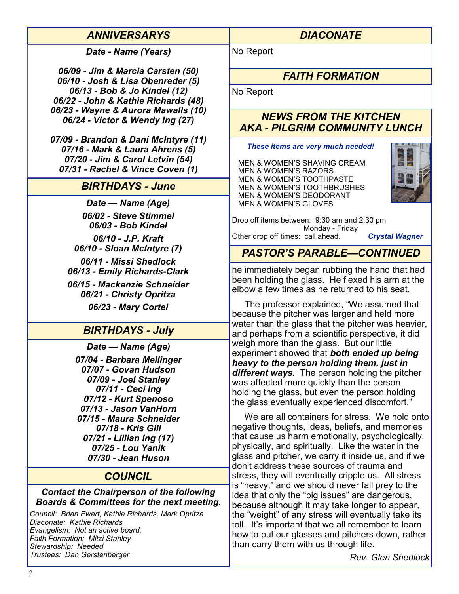| <b>ANNIVERSARYS</b>                                                                                                                                                                                           | <b>DIACONATE</b>                                                                                                                                                                                                                                                                                                |  |  |  |
|---------------------------------------------------------------------------------------------------------------------------------------------------------------------------------------------------------------|-----------------------------------------------------------------------------------------------------------------------------------------------------------------------------------------------------------------------------------------------------------------------------------------------------------------|--|--|--|
| Date - Name (Years)                                                                                                                                                                                           | No Report                                                                                                                                                                                                                                                                                                       |  |  |  |
| 06/09 - Jim & Marcia Carsten (50)<br>06/10 - Josh & Lisa Obenreder (5)                                                                                                                                        | <b>FAITH FORMATION</b>                                                                                                                                                                                                                                                                                          |  |  |  |
| 06/13 - Bob & Jo Kindel (12)<br>06/22 - John & Kathie Richards (48)                                                                                                                                           | No Report                                                                                                                                                                                                                                                                                                       |  |  |  |
| 06/23 - Wayne & Aurora Mawalls (10)<br>06/24 - Victor & Wendy Ing (27)                                                                                                                                        | <b>NEWS FROM THE KITCHEN</b><br><b>AKA - PILGRIM COMMUNITY LUNCH</b>                                                                                                                                                                                                                                            |  |  |  |
| 07/09 - Brandon & Dani McIntyre (11)<br>07/16 - Mark & Laura Ahrens (5)<br>07/20 - Jim & Carol Letvin (54)<br>07/31 - Rachel & Vince Coven (1)                                                                | These items are very much needed!<br>MEN & WOMEN'S SHAVING CREAM<br><b>MEN &amp; WOMEN'S RAZORS</b>                                                                                                                                                                                                             |  |  |  |
| <b>BIRTHDAYS - June</b>                                                                                                                                                                                       | <b>MEN &amp; WOMEN'S TOOTHPASTE</b><br><b>MEN &amp; WOMEN'S TOOTHBRUSHES</b><br><b>MEN &amp; WOMEN'S DEODORANT</b>                                                                                                                                                                                              |  |  |  |
| Date - Name (Age)                                                                                                                                                                                             | <b>MEN &amp; WOMEN'S GLOVES</b>                                                                                                                                                                                                                                                                                 |  |  |  |
| 06/02 - Steve Stimmel<br>06/03 - Bob Kindel                                                                                                                                                                   | Drop off items between: 9:30 am and 2:30 pm<br>Monday - Friday                                                                                                                                                                                                                                                  |  |  |  |
| 06/10 - J.P. Kraft<br>06/10 - Sloan McIntyre (7)                                                                                                                                                              | Other drop off times: call ahead.<br><b>Crystal Wagner</b>                                                                                                                                                                                                                                                      |  |  |  |
| 06/11 - Missi Shedlock                                                                                                                                                                                        | <b>PASTOR'S PARABLE-CONTINUED</b>                                                                                                                                                                                                                                                                               |  |  |  |
| 06/13 - Emily Richards-Clark<br>06/15 - Mackenzie Schneider                                                                                                                                                   | he immediately began rubbing the hand that had<br>been holding the glass. He flexed his arm at the<br>elbow a few times as he returned to his seat.                                                                                                                                                             |  |  |  |
| 06/21 - Christy Opritza                                                                                                                                                                                       | The professor explained, "We assumed that                                                                                                                                                                                                                                                                       |  |  |  |
| 06/23 - Mary Cortel                                                                                                                                                                                           | because the pitcher was larger and held more<br>water than the glass that the pitcher was heavier,                                                                                                                                                                                                              |  |  |  |
| <b>BIRTHDAYS - July</b>                                                                                                                                                                                       | and perhaps from a scientific perspective, it did                                                                                                                                                                                                                                                               |  |  |  |
| Date - Name (Age)                                                                                                                                                                                             | weigh more than the glass. But our little<br>experiment showed that both ended up being                                                                                                                                                                                                                         |  |  |  |
| 07/04 - Barbara Mellinger<br>07/07 - Govan Hudson<br>07/09 - Joel Stanley<br>07/11 - Ceci Ing<br>07/12 - Kurt Spenoso<br>07/13 - Jason VanHorn                                                                | heavy to the person holding them, just in<br>different ways. The person holding the pitcher<br>was affected more quickly than the person<br>holding the glass, but even the person holding<br>the glass eventually experienced discomfort."                                                                     |  |  |  |
| 07/15 - Maura Schneider<br>07/18 - Kris Gill<br>07/21 - Lillian Ing (17)<br>07/25 - Lou Yanik<br>07/30 - Jean Huson                                                                                           | We are all containers for stress. We hold onto<br>negative thoughts, ideas, beliefs, and memories<br>that cause us harm emotionally, psychologically,<br>physically, and spiritually. Like the water in the<br>glass and pitcher, we carry it inside us, and if we<br>don't address these sources of trauma and |  |  |  |
| <b>COUNCIL</b>                                                                                                                                                                                                | stress, they will eventually cripple us. All stress                                                                                                                                                                                                                                                             |  |  |  |
| <b>Contact the Chairperson of the following</b><br>Boards & Committees for the next meeting.                                                                                                                  | is "heavy," and we should never fall prey to the<br>idea that only the "big issues" are dangerous,<br>because although it may take longer to appear,                                                                                                                                                            |  |  |  |
| Council: Brian Ewart, Kathie Richards, Mark Opritza<br>Diaconate: Kathie Richards<br>Evangelism: Not an active board.<br>Faith Formation: Mitzi Stanley<br>Stewardship: Needed<br>Trustees: Dan Gerstenberger | the "weight" of any stress will eventually take its<br>toll. It's important that we all remember to learn<br>how to put our glasses and pitchers down, rather<br>than carry them with us through life.<br>Rey Glen Shedlock                                                                                     |  |  |  |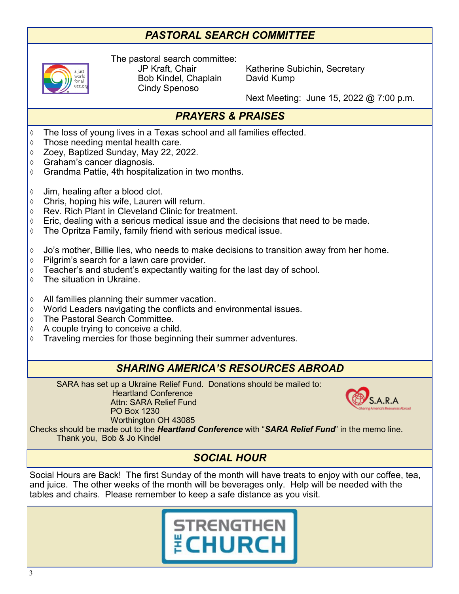# *PASTORAL SEARCH COMMITTEE*



The pastoral search committee: Bob Kindel, Chaplain David Kump Cindy Spenoso

JP Kraft, Chair Katherine Subichin, Secretary

Next Meeting: June 15, 2022 @ 7:00 p.m.

# *PRAYERS & PRAISES*

- The loss of young lives in a Texas school and all families effected.
- Those needing mental health care.
- Zoey, Baptized Sunday, May 22, 2022.
- Graham's cancer diagnosis.
- $\Diamond$  Grandma Pattie, 4th hospitalization in two months.
- $\Diamond$  Jim, healing after a blood clot.
- $\lozenge$  Chris, hoping his wife, Lauren will return.
- $\Diamond$  Rev. Rich Plant in Cleveland Clinic for treatment.
- $\Diamond$  Eric, dealing with a serious medical issue and the decisions that need to be made.
- The Opritza Family, family friend with serious medical issue.
- $\Diamond$  Jo's mother, Billie Iles, who needs to make decisions to transition away from her home.
- $\Diamond$  Pilgrim's search for a lawn care provider.
- $\Diamond$  Teacher's and student's expectantly waiting for the last day of school.
- The situation in Ukraine.
- $\Diamond$  All families planning their summer vacation.
- World Leaders navigating the conflicts and environmental issues.
- The Pastoral Search Committee.
- $\Diamond$  A couple trying to conceive a child.
- $\Diamond$  Traveling mercies for those beginning their summer adventures.

Attn: SARA Relief Fund

PO Box 1230

## *SHARING AMERICA'S RESOURCES ABROAD*

SARA has set up a Ukraine Relief Fund. Donations should be mailed to: Heartland Conference



Worthington OH 43085 Checks should be made out to the *Heartland Conference* with "*SARA Relief Fund*" in the memo line. Thank you, Bob & Jo Kindel

# *SOCIAL HOUR*

Social Hours are Back! The first Sunday of the month will have treats to enjoy with our coffee, tea, and juice. The other weeks of the month will be beverages only. Help will be needed with the tables and chairs. Please remember to keep a safe distance as you visit.

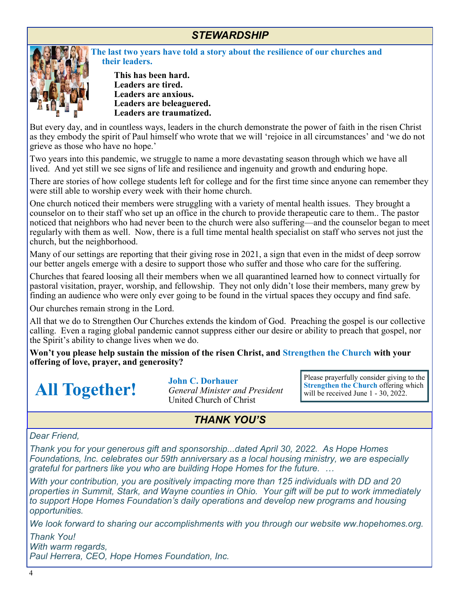## *STEWARDSHIP*



**The last two years have told a story about the resilience of our churches and their leaders.**

**This has been hard. Leaders are tired. Leaders are anxious. Leaders are beleaguered. Leaders are traumatized.**

But every day, and in countless ways, leaders in the church demonstrate the power of faith in the risen Christ as they embody the spirit of Paul himself who wrote that we will 'rejoice in all circumstances' and 'we do not grieve as those who have no hope.'

Two years into this pandemic, we struggle to name a more devastating season through which we have all lived. And yet still we see signs of life and resilience and ingenuity and growth and enduring hope.

There are stories of how college students left for college and for the first time since anyone can remember they were still able to worship every week with their home church.

One church noticed their members were struggling with a variety of mental health issues. They brought a counselor on to their staff who set up an office in the church to provide therapeutic care to them.. The pastor noticed that neighbors who had never been to the church were also suffering—and the counselor began to meet regularly with them as well. Now, there is a full time mental health specialist on staff who serves not just the church, but the neighborhood.

Many of our settings are reporting that their giving rose in 2021, a sign that even in the midst of deep sorrow our better angels emerge with a desire to support those who suffer and those who care for the suffering.

Churches that feared loosing all their members when we all quarantined learned how to connect virtually for pastoral visitation, prayer, worship, and fellowship. They not only didn't lose their members, many grew by finding an audience who were only ever going to be found in the virtual spaces they occupy and find safe.

Our churches remain strong in the Lord.

All that we do to Strengthen Our Churches extends the kindom of God. Preaching the gospel is our collective calling. Even a raging global pandemic cannot suppress either our desire or ability to preach that gospel, nor the Spirit's ability to change lives when we do.

**Won't you please help sustain the mission of the risen Christ, and Strengthen the Church with your offering of love, prayer, and generosity?**

**All Together!**

**John C. Dorhauer** *General Minister and President* United Church of Christ

Please prayerfully consider giving to the **Strengthen the Church** offering which will be received June 1 - 30, 2022.

## *THANK YOU'S*

#### *Dear Friend,*

*Thank you for your generous gift and sponsorship...dated April 30, 2022. As Hope Homes Foundations, Inc. celebrates our 59th anniversary as a local housing ministry, we are especially grateful for partners like you who are building Hope Homes for the future. …*

*With your contribution, you are positively impacting more than 125 individuals with DD and 20 properties in Summit, Stark, and Wayne counties in Ohio. Your gift will be put to work immediately to support Hope Homes Foundation's daily operations and develop new programs and housing opportunities.*

*We look forward to sharing our accomplishments with you through our website ww.hopehomes.org.*

*Thank You! With warm regards, Paul Herrera, CEO, Hope Homes Foundation, Inc.*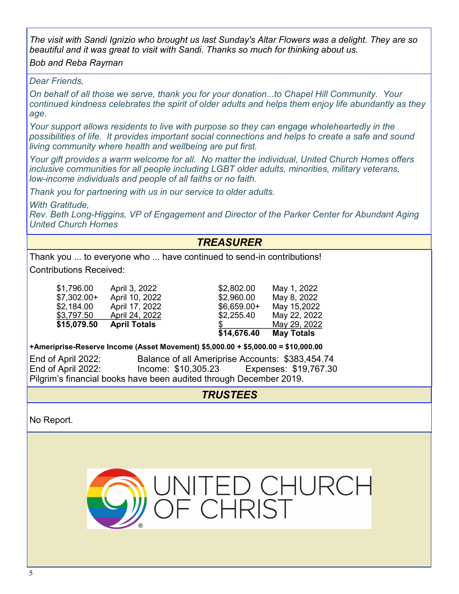*The visit with Sandi Ignizio who brought us last Sunday's Altar Flowers was a delight. They are so beautiful and it was great to visit with Sandi. Thanks so much for thinking about us.*

#### *Bob and Reba Rayman*

#### *Dear Friends,*

*On behalf of all those we serve, thank you for your donation...to Chapel Hill Community. Your continued kindness celebrates the spirit of older adults and helps them enjoy life abundantly as they age.*

*Your support allows residents to live with purpose so they can engage wholeheartedly in the possibilities of life. It provides important social connections and helps to create a safe and sound living community where health and wellbeing are put first.*

*Your gift provides a warm welcome for all. No matter the individual, United Church Homes offers inclusive communities for all people including LGBT older adults, minorities, military veterans, low-income individuals and people of all faiths or no faith.*

*Thank you for partnering with us in our service to older adults.*

*With Gratitude,*

*Rev. Beth Long-Higgins, VP of Engagement and Director of the Parker Center for Abundant Aging United Church Homes*

# *TREASURER*

Thank you ... to everyone who ... have continued to send-in contributions!

Contributions Received:

| \$15,079.50 | <b>April Totals</b> |
|-------------|---------------------|
| \$3,797.50  | April 24, 2022      |
| \$2,184.00  | April 17, 2022      |
| \$7,302.00+ | April 10, 2022      |
| \$1,796.00  | April 3, 2022       |

|              |                     | \$14,676.40  | <b>May Totals</b> |
|--------------|---------------------|--------------|-------------------|
| \$15,079.50  | <b>April Totals</b> |              | May 29, 2022      |
| \$3,797.50   | April 24, 2022      | \$2,255.40   | May 22, 2022      |
| \$2,184.00   | April 17, 2022      | $$6,659.00+$ | May 15,2022       |
| $$7,302.00+$ | April 10, 2022      | \$2,960.00   | May 8, 2022       |
| \$1,796.00   | April 3, 2022       | \$2,802.00   | May 1, 2022       |
|              |                     |              |                   |

**+Ameriprise-Reserve Income (Asset Movement) \$5,000.00 + \$5,000.00 = \$10,000.00**

End of April 2022: Balance of all Ameriprise Accounts: \$383,454.74 End of April 2022: Income: \$10,305.23 Expenses: \$19,767.30 Pilgrim's financial books have been audited through December 2019.

*TRUSTEES*

No Report.

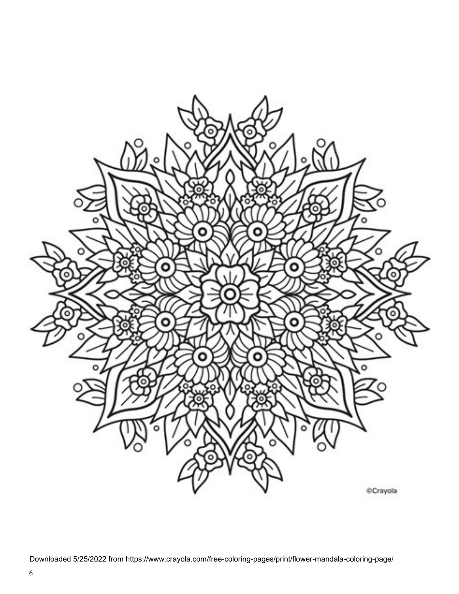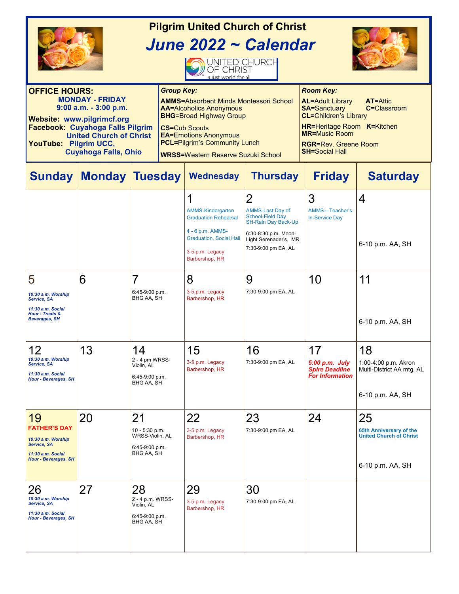| <b>Pilgrim United Church of Christ</b><br>June 2022 ~ Calendar<br>UNITED CHURCH<br>a just world for all                                                                                                                                       |                                                                            |                                                                         |                                         |                                                                                                                                                                                                                                                                                     |                                                                                                                                                                            |                                                                                                                                                                                                                                                           |                                                                                     |  |  |
|-----------------------------------------------------------------------------------------------------------------------------------------------------------------------------------------------------------------------------------------------|----------------------------------------------------------------------------|-------------------------------------------------------------------------|-----------------------------------------|-------------------------------------------------------------------------------------------------------------------------------------------------------------------------------------------------------------------------------------------------------------------------------------|----------------------------------------------------------------------------------------------------------------------------------------------------------------------------|-----------------------------------------------------------------------------------------------------------------------------------------------------------------------------------------------------------------------------------------------------------|-------------------------------------------------------------------------------------|--|--|
| <b>OFFICE HOURS:</b><br><b>MONDAY - FRIDAY</b><br>$9:00$ a.m. $-3:00$ p.m.<br><b>Website: www.pilgrimcf.org</b><br>Facebook: Cuyahoga Falls Pilgrim<br><b>United Church of Christ</b><br>YouTube: Pilgrim UCC,<br><b>Cuyahoga Falls, Ohio</b> |                                                                            |                                                                         |                                         | <b>Group Key:</b><br><b>AMMS=Absorbent Minds Montessori School</b><br><b>AA=Alcoholics Anonymous</b><br><b>BHG=Broad Highway Group</b><br><b>CS=Cub Scouts</b><br><b>EA=Emotions Anonymous</b><br><b>PCL=Pilgrim's Community Lunch</b><br><b>WRSS=Western Reserve Suzuki School</b> |                                                                                                                                                                            | <b>Room Key:</b><br><b>AL=Adult Library</b><br><b>AT=Attic</b><br><b>SA=Sanctuary</b><br>C=Classroom<br><b>CL=Children's Library</b><br><b>HR=Heritage Room K=Kitchen</b><br><b>MR=Music Room</b><br><b>RGR=Rev. Greene Room</b><br><b>SH=Social Hall</b> |                                                                                     |  |  |
| <b>Sunday</b>                                                                                                                                                                                                                                 | <b>Monday Tuesday</b>                                                      |                                                                         |                                         | <b>Wednesday</b>                                                                                                                                                                                                                                                                    | <b>Thursday</b>                                                                                                                                                            | <b>Friday</b>                                                                                                                                                                                                                                             | <b>Saturday</b>                                                                     |  |  |
|                                                                                                                                                                                                                                               |                                                                            |                                                                         |                                         | 1<br><b>AMMS-Kindergarten</b><br><b>Graduation Rehearsal</b><br>4 - 6 p.m. AMMS-<br><b>Graduation, Social Hall</b><br>3-5 p.m. Legacy<br>Barbershop, HR                                                                                                                             | $\overline{2}$<br><b>AMMS-Last Day of</b><br><b>School-Field Day</b><br><b>SH-Rain Day Back-Up</b><br>6:30-8:30 p.m. Moon-<br>Light Serenader's, MR<br>7:30-9:00 pm EA, AL | 3<br>AMMS-Teacher's<br><b>In-Service Day</b>                                                                                                                                                                                                              | 4<br>6-10 p.m. AA, SH                                                               |  |  |
| 5<br>10:30 a.m. Worship<br>Service, SA<br>11:30 a.m. Social<br><b>Hour - Treats &amp;</b><br><b>Beverages, SH</b>                                                                                                                             | 6                                                                          | 7<br>6:45-9:00 p.m.<br>BHG AA, SH                                       |                                         | 8<br>3-5 p.m. Legacy<br>Barbershop, HR                                                                                                                                                                                                                                              | 9<br>7:30-9:00 pm EA, AL                                                                                                                                                   | 10                                                                                                                                                                                                                                                        | 11<br>6-10 p.m. AA, SH                                                              |  |  |
| 12<br>10:30 a.m. Worship<br>Service, SA<br>11:30 a.m. Social<br><b>Hour - Beverages, SH</b>                                                                                                                                                   | 13                                                                         | 14<br>2 - 4 pm WRSS-<br>Violin, AL<br>6:45-9:00 p.m.<br>BHG AA, SH      |                                         | 15<br>3-5 p.m. Legacy<br>Barbershop, HR                                                                                                                                                                                                                                             | 16<br>7:30-9:00 pm EA, AL                                                                                                                                                  | 17<br>$5:00$ p.m. July<br><b>Spire Deadline</b><br><b>For Information</b>                                                                                                                                                                                 | 18<br>1:00-4:00 p.m. Akron<br>Multi-District AA mtg, AL<br>6-10 p.m. AA, SH         |  |  |
| 19<br><b>FATHER'S DAY</b><br>10:30 a.m. Worship<br>Service, SA<br>11:30 a.m. Social<br><b>Hour - Beverages, SH</b>                                                                                                                            | 20                                                                         | 21<br>10 - 5:30 p.m.<br>WRSS-Violin, AL<br>6:45-9:00 p.m.<br>BHG AA, SH |                                         | 22<br>3-5 p.m. Legacy<br>Barbershop, HR                                                                                                                                                                                                                                             | 23<br>7:30-9:00 pm EA, AL                                                                                                                                                  | 24                                                                                                                                                                                                                                                        | 25<br>65th Anniversary of the<br><b>United Church of Christ</b><br>6-10 p.m. AA, SH |  |  |
| 26<br>10:30 a.m. Worship<br>Service, SA<br>11:30 a.m. Social<br><b>Hour - Beverages, SH</b>                                                                                                                                                   | 28<br>27<br>2 - 4 p.m. WRSS-<br>Violin, AL<br>6:45-9:00 p.m.<br>BHG AA, SH |                                                                         | 29<br>3-5 p.m. Legacy<br>Barbershop, HR | 30<br>7:30-9:00 pm EA, AL                                                                                                                                                                                                                                                           |                                                                                                                                                                            |                                                                                                                                                                                                                                                           |                                                                                     |  |  |